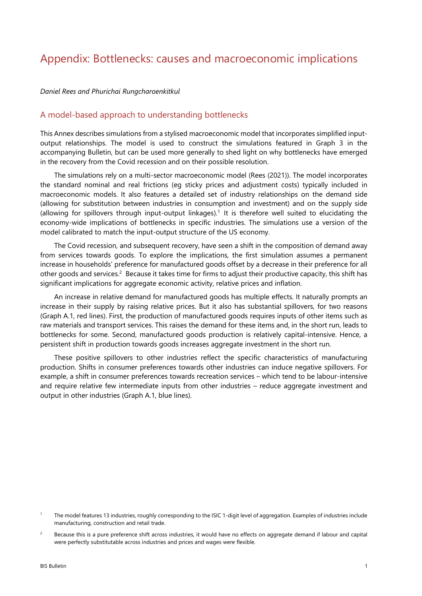## Appendix: Bottlenecks: causes and macroeconomic implications

*Daniel Rees and Phurichai Rungcharoenkitkul* 

## A model-based approach to understanding bottlenecks

This Annex describes simulations from a stylised macroeconomic model that incorporates simplified inputoutput relationships. The model is used to construct the simulations featured in Graph 3 in the accompanying Bulletin, but can be used more generally to shed light on why bottlenecks have emerged in the recovery from the Covid recession and on their possible resolution.

The simulations rely on a multi-sector macroeconomic model (Rees (2021)). The model incorporates the standard nominal and real frictions (eg sticky prices and adjustment costs) typically included in macroeconomic models. It also features a detailed set of industry relationships on the demand side (allowing for substitution between industries in consumption and investment) and on the supply side (allowing for spillovers through input-output linkages).<sup>1</sup> It is therefore well suited to elucidating the economy-wide implications of bottlenecks in specific industries. The simulations use a version of the model calibrated to match the input-output structure of the US economy.

The Covid recession, and subsequent recovery, have [s](#page-0-1)een a shift in the composition of demand away from services towards goods. To explore the implications, the first simulation assumes a permanent increase in households' preference for manufactured goods offset by a decrease in their preference for all other goods and services.<sup>2</sup> Because it takes time for firms to adjust their productive capacity, this shift has significant implications for aggregate economic activity, relative prices and inflation.

An increase in relative demand for manufactured goods has multiple effects. It naturally prompts an increase in their supply [by](#page-0-0) raising relative prices. But it also has substantial spillovers, for two reasons (Graph A.1, red lines). First, the production of manufactured goods requires inputs of other items such as raw materials and transport services. This raises the demand for these items and, in the short run, leads to bottlenecks for some. Second, manufactured goods production is relatively capital-intensive. Hence, a persistent shift in production towards goods increases aggregate investment in the short run.

These positive spillovers to other industries reflect the specific characteristics of manufacturing production. Shifts in consumer preferences towards other industries can induce negative spillovers. For example, a shift in consumer preferences towards recreation services – which tend to be labour-intensive and require relative few intermediate inputs from other industries – reduce aggregate investment and output in other industries (Graph A.1, blue lines).

<sup>1</sup> The model features 13 industries, roughly corresponding to the ISIC 1-digit level of aggregation. Examples of industries include manufacturing, construction and retail trade.

<span id="page-0-1"></span><span id="page-0-0"></span><sup>2</sup> Because this is a pure preference shift across industries, it would have no effects on aggregate demand if labour and capital were perfectly substitutable across industries and prices and wages were flexible.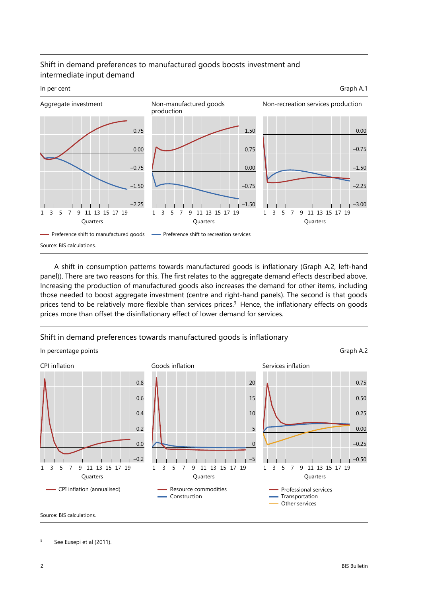## Shift in demand preferences to manufactured goods boosts investment and intermediate input demand



A shift in consumption patterns towards manufactured goods is inflationary (Graph A.2, left-hand panel)). There are two reasons for this. The first relates to the aggregate demand effects described above. Increasing the production of manufactured goods also increases the demand for other items, including those needed to boost aggregate investment (centre and right-hand panels). The second is that goods prices tend to be relatively more flexible than services prices.<sup>3</sup> Hence, the inflationary effects on goods prices more than offset the disinflationary effect of lower demand for services.

Shift in demand preferences towards manufactured goo[d](#page-1-0)s is inflationary



<span id="page-1-0"></span>3 See Eusepi et al (2011).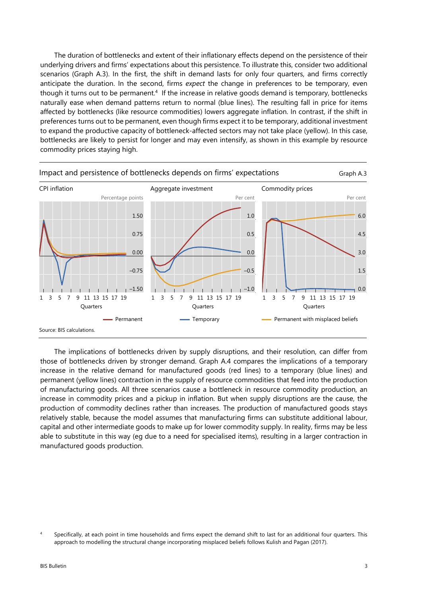The duration of bottlenecks and extent of their inflationary effects depend on the persistence of their underlying drivers and firms' expectations about this persistence. To illustrate this, consider two additional scenarios (Graph A.3). In the first, the shift in demand lasts for only four quarters, and firms correctly anticipate the duration. In the second, firms *expect* the change in preferences to be temporary, even though it turns out to be permanent.4 If the increase in relative goods demand is temporary, bottlenecks naturally ease when demand patterns return to normal (blue lines). The resulting fall in price for items affected by bottlenecks (like resource commodities) lowers aggregate inflation. In contrast, if the shift in preferences turns out to be permanent, even though firms expect it to be temporary, additional investment to expand the productive capacity of [b](#page-2-0)ottleneck-affected sectors may not take place (yellow). In this case, bottlenecks are likely to persist for longer and may even intensify, as shown in this example by resource commodity prices staying high.



The implications of bottlenecks driven by supply disruptions, and their resolution, can differ from those of bottlenecks driven by stronger demand. Graph A.4 compares the implications of a temporary increase in the relative demand for manufactured goods (red lines) to a temporary (blue lines) and permanent (yellow lines) contraction in the supply of resource commodities that feed into the production of manufacturing goods. All three scenarios cause a bottleneck in resource commodity production, an increase in commodity prices and a pickup in inflation. But when supply disruptions are the cause, the production of commodity declines rather than increases. The production of manufactured goods stays relatively stable, because the model assumes that manufacturing firms can substitute additional labour, capital and other intermediate goods to make up for lower commodity supply. In reality, firms may be less able to substitute in this way (eg due to a need for specialised items), resulting in a larger contraction in manufactured goods production.

<span id="page-2-0"></span><sup>4</sup> Specifically, at each point in time households and firms expect the demand shift to last for an additional four quarters. This approach to modelling the structural change incorporating misplaced beliefs follows Kulish and Pagan (2017).